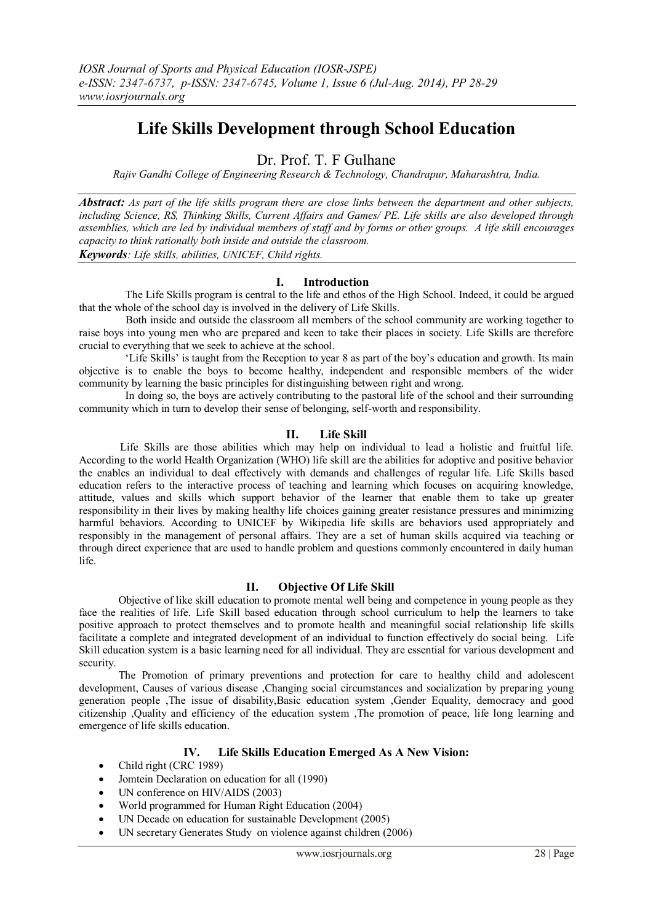# **Life Skills Development through School Education**

Dr. Prof. T. F Gulhane

*Rajiv Gandhi College of Engineering Research & Technology, Chandrapur, Maharashtra, India.*

*Abstract: As part of the life skills program there are close links between the department and other subjects, including Science, RS, Thinking Skills, Current Affairs and Games/ PE. Life skills are also developed through assemblies, which are led by individual members of staff and by forms or other groups. A life skill encourages capacity to think rationally both inside and outside the classroom. Keywords: Life skills, abilities, UNICEF, Child rights.*

# **I. Introduction**

 The Life Skills program is central to the life and ethos of the High School. Indeed, it could be argued that the whole of the school day is involved in the delivery of Life Skills.

 Both inside and outside the classroom all members of the school community are working together to raise boys into young men who are prepared and keen to take their places in society. Life Skills are therefore crucial to everything that we seek to achieve at the school.

 'Life Skills' is taught from the Reception to year 8 as part of the boy's education and growth. Its main objective is to enable the boys to become healthy, independent and responsible members of the wider community by learning the basic principles for distinguishing between right and wrong.

 In doing so, the boys are actively contributing to the pastoral life of the school and their surrounding community which in turn to develop their sense of belonging, self-worth and responsibility.

## **II. Life Skill**

 Life Skills are those abilities which may help on individual to lead a holistic and fruitful life. According to the world Health Organization (WHO) life skill are the abilities for adoptive and positive behavior the enables an individual to deal effectively with demands and challenges of regular life. Life Skills based education refers to the interactive process of teaching and learning which focuses on acquiring knowledge, attitude, values and skills which support behavior of the learner that enable them to take up greater responsibility in their lives by making healthy life choices gaining greater resistance pressures and minimizing harmful behaviors. According to UNICEF by Wikipedia life skills are behaviors used appropriately and responsibly in the management of personal affairs. They are a set of human skills acquired via teaching or through direct experience that are used to handle problem and questions commonly encountered in daily human life.

# **II. Objective Of Life Skill**

 Objective of like skill education to promote mental well being and competence in young people as they face the realities of life. Life Skill based education through school curriculum to help the learners to take positive approach to protect themselves and to promote health and meaningful social relationship life skills facilitate a complete and integrated development of an individual to function effectively do social being. Life Skill education system is a basic learning need for all individual. They are essential for various development and security.

 The Promotion of primary preventions and protection for care to healthy child and adolescent development, Causes of various disease ,Changing social circumstances and socialization by preparing young generation people ,The issue of disability,Basic education system ,Gender Equality, democracy and good citizenship ,Quality and efficiency of the education system ,The promotion of peace, life long learning and emergence of life skills education.

# **IV. Life Skills Education Emerged As A New Vision:**

- Child right (CRC 1989)
- Jomtein Declaration on education for all (1990)
- UN conference on HIV/AIDS (2003)
- World programmed for Human Right Education (2004)
- UN Decade on education for sustainable Development (2005)
- UN secretary Generates Study on violence against children (2006)